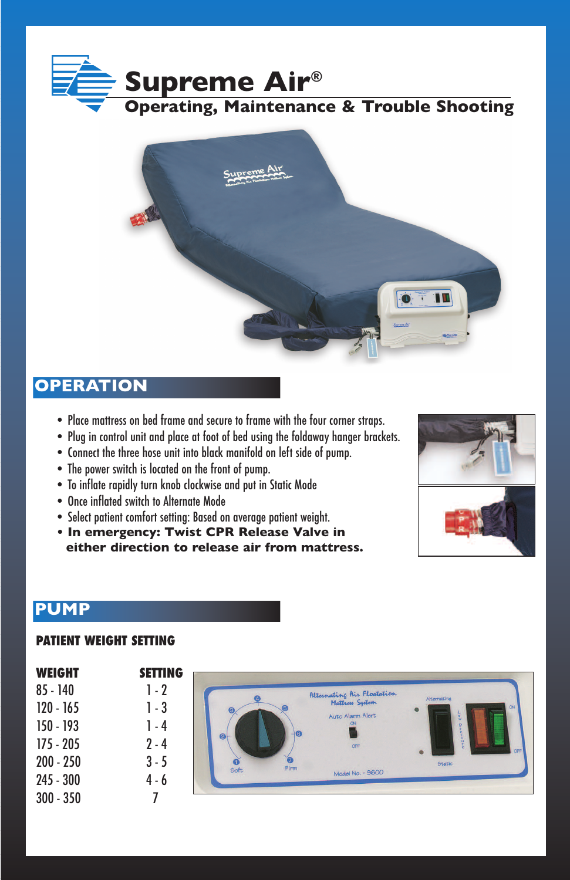



### **OPERATION**

- Place mattress on bed frame and secure to frame with the four corner straps.
- Plug in control unit and place at foot of bed using the foldaway hanger brackets.
- Connect the three hose unit into black manifold on left side of pump.
- The power switch is located on the front of pump.
- To inflate rapidly turn knob clockwise and put in Static Mode
- Once inflated switch to Alternate Mode
- Select patient comfort setting: Based on average patient weight.
- **• In emergency: Twist CPR Release Valve in either direction to release air from mattress.**



### **PUMP**

#### **PATIENT WEIGHT SETTING**

| <b>WEIGHT</b> | <b>SETTING</b> |                |                                               |                 |  |
|---------------|----------------|----------------|-----------------------------------------------|-----------------|--|
| $85 - 140$    | $1 - 2$        |                | Alternating Air Floatation<br>Mattress System | Alternating     |  |
| $120 - 165$   | 1 - 3          |                | Auto Alarm Alert                              | ON<br>$\bullet$ |  |
| 150 - 193     | 1 - 4          | $\overline{a}$ |                                               |                 |  |
| $175 - 205$   | $2 - 4$        | $\bullet$      | OFF                                           | OFF             |  |
| $200 - 250$   | $3 - 5$        | Firm<br>Soft   |                                               | <b>Static</b>   |  |
| $245 - 300$   | $4 - 6$        |                | Model No. - 9600                              |                 |  |
| $300 - 350$   |                |                |                                               |                 |  |